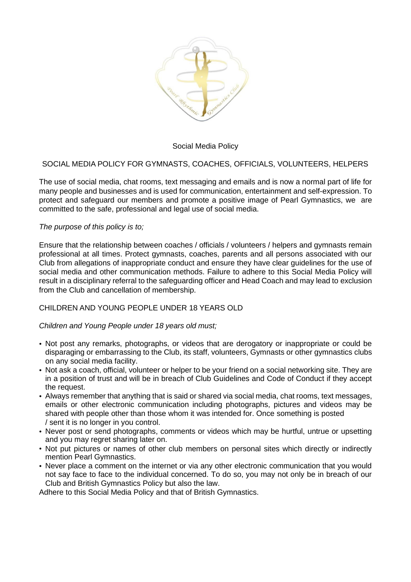

### Social Media Policy

### SOCIAL MEDIA POLICY FOR GYMNASTS, COACHES, OFFICIALS, VOLUNTEERS, HELPERS

The use of social media, chat rooms, text messaging and emails and is now a normal part of life for many people and businesses and is used for communication, entertainment and self-expression. To protect and safeguard our members and promote a positive image of Pearl Gymnastics, we are committed to the safe, professional and legal use of social media.

#### *The purpose of this policy is to;*

Ensure that the relationship between coaches / officials / volunteers / helpers and gymnasts remain professional at all times. Protect gymnasts, coaches, parents and all persons associated with our Club from allegations of inappropriate conduct and ensure they have clear guidelines for the use of social media and other communication methods. Failure to adhere to this Social Media Policy will result in a disciplinary referral to the safeguarding officer and Head Coach and may lead to exclusion from the Club and cancellation of membership.

# CHILDREN AND YOUNG PEOPLE UNDER 18 YEARS OLD

### *Children and Young People under 18 years old must;*

- Not post any remarks, photographs, or videos that are derogatory or inappropriate or could be disparaging or embarrassing to the Club, its staff, volunteers, Gymnasts or other gymnastics clubs on any social media facility.
- Not ask a coach, official, volunteer or helper to be your friend on a social networking site. They are in a position of trust and will be in breach of Club Guidelines and Code of Conduct if they accept the request.
- Always remember that anything that is said or shared via social media, chat rooms, text messages, emails or other electronic communication including photographs, pictures and videos may be shared with people other than those whom it was intended for. Once something is posted / sent it is no longer in you control.
- Never post or send photographs, comments or videos which may be hurtful, untrue or upsetting and you may regret sharing later on.
- Not put pictures or names of other club members on personal sites which directly or indirectly mention Pearl Gymnastics.
- Never place a comment on the internet or via any other electronic communication that you would not say face to face to the individual concerned. To do so, you may not only be in breach of our Club and British Gymnastics Policy but also the law.

Adhere to this Social Media Policy and that of British Gymnastics.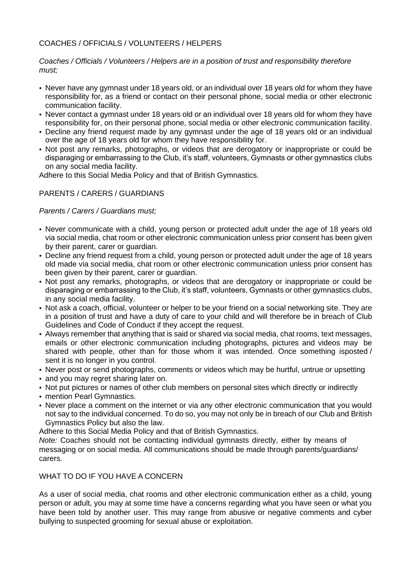# COACHES / OFFICIALS / VOLUNTEERS / HELPERS

#### *Coaches / Officials / Volunteers / Helpers are in a position of trust and responsibility therefore must;*

- Never have any gymnast under 18 years old, or an individual over 18 years old for whom they have responsibility for, as a friend or contact on their personal phone, social media or other electronic communication facility.
- Never contact a gymnast under 18 years old or an individual over 18 years old for whom they have responsibility for, on their personal phone, social media or other electronic communication facility.
- Decline any friend request made by any gymnast under the age of 18 years old or an individual over the age of 18 years old for whom they have responsibility for.
- Not post any remarks, photographs, or videos that are derogatory or inappropriate or could be disparaging or embarrassing to the Club, it's staff, volunteers, Gymnasts or other gymnastics clubs on any social media facility.

Adhere to this Social Media Policy and that of British Gymnastics.

## PARENTS / CARERS / GUARDIANS

*Parents / Carers / Guardians must;*

- Never communicate with a child, young person or protected adult under the age of 18 years old via social media, chat room or other electronic communication unless prior consent has been given by their parent, carer or guardian.
- Decline any friend request from a child, young person or protected adult under the age of 18 years old made via social media, chat room or other electronic communication unless prior consent has been given by their parent, carer or guardian.
- Not post any remarks, photographs, or videos that are derogatory or inappropriate or could be disparaging or embarrassing to the Club, it's staff, volunteers, Gymnasts or other gymnastics clubs, in any social media facility.
- Not ask a coach, official, volunteer or helper to be your friend on a social networking site. They are in a position of trust and have a duty of care to your child and will therefore be in breach of Club Guidelines and Code of Conduct if they accept the request.
- Always remember that anything that is said or shared via social media, chat rooms, text messages, emails or other electronic communication including photographs, pictures and videos may be shared with people, other than for those whom it was intended. Once something isposted / sent it is no longer in you control.
- Never post or send photographs, comments or videos which may be hurtful, untrue or upsetting
- and you may regret sharing later on.
- Not put pictures or names of other club members on personal sites which directly or indirectly
- mention Pearl Gymnastics.
- Never place a comment on the internet or via any other electronic communication that you would not say to the individual concerned. To do so, you may not only be in breach of our Club and British Gymnastics Policy but also the law.

Adhere to this Social Media Policy and that of British Gymnastics.

*Note:* Coaches should not be contacting individual gymnasts directly, either by means of messaging or on social media. All communications should be made through parents/guardians/ carers.

## WHAT TO DO IF YOU HAVE A CONCERN

As a user of social media, chat rooms and other electronic communication either as a child, young person or adult, you may at some time have a concerns regarding what you have seen or what you have been told by another user. This may range from abusive or negative comments and cyber bullying to suspected grooming for sexual abuse or exploitation.